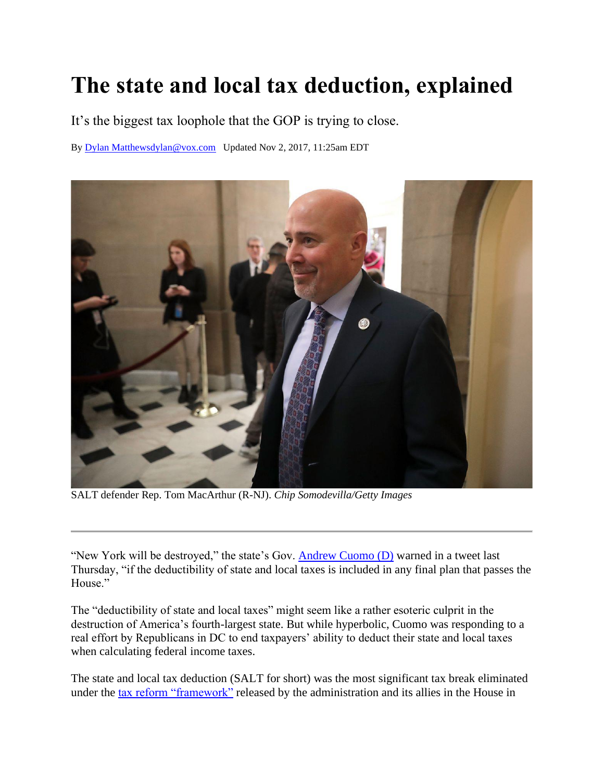# **The state and local tax deduction, explained**

It's the biggest tax loophole that the GOP is trying to close.

By [Dylan Matthews](https://www.vox.com/authors/dylan)[dylan@vox.com](mailto:dylan@vox.com) Updated Nov 2, 2017, 11:25am EDT



SALT defender Rep. Tom MacArthur (R-NJ). *Chip Somodevilla/Getty Images*

"New York will be destroyed," the state's Gov. [Andrew Cuomo \(D\)](https://twitter.com/NYGovCuomo/status/923596808630218752?ref_src=twsrc%5Egoogle%7Ctwcamp%5Eserp%7Ctwgr%5Etweet) warned in a tweet last Thursday, "if the deductibility of state and local taxes is included in any final plan that passes the House."

The "deductibility of state and local taxes" might seem like a rather esoteric culprit in the destruction of America's fourth-largest state. But while hyperbolic, Cuomo was responding to a real effort by Republicans in DC to end taxpayers' ability to deduct their state and local taxes when calculating federal income taxes.

The state and local tax deduction (SALT for short) was the most significant tax break eliminated under the [tax reform "framework"](https://www.dropbox.com/s/54v0d0i3ji1h0jr/Tax%20Blueprint.pdf?dl=0) released by the administration and its allies in the House in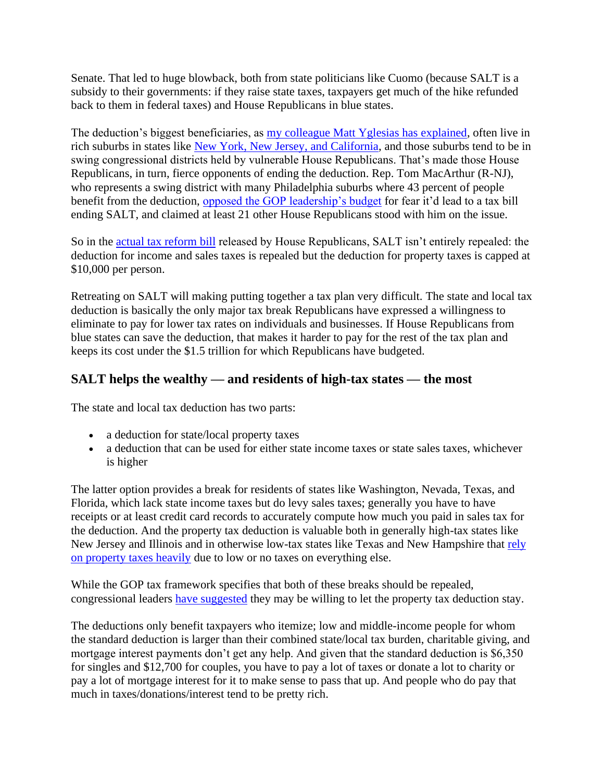Senate. That led to huge blowback, both from state politicians like Cuomo (because SALT is a subsidy to their governments: if they raise state taxes, taxpayers get much of the hike refunded back to them in federal taxes) and House Republicans in blue states.

The deduction's biggest beneficiaries, as [my colleague Matt Yglesias has explained,](https://www.vox.com/policy-and-politics/2017/9/30/16380578/salt-vulnerable-house-republicans) often live in rich suburbs in states like [New York, New Jersey, and California,](http://www.taxpolicycenter.org/taxvox/state-and-local-tax-deduction-doesnt-benefit-only-blue-state-households) and those suburbs tend to be in swing congressional districts held by vulnerable House Republicans. That's made those House Republicans, in turn, fierce opponents of ending the deduction. Rep. Tom MacArthur (R-NJ), who represents a swing district with many Philadelphia suburbs where 43 percent of people benefit from the deduction, [opposed the GOP leadership's budget](https://www.politico.com/story/2017/10/26/republican-leaders-budget-vote-244198) for fear it'd lead to a tax bill ending SALT, and claimed at least 21 other House Republicans stood with him on the issue.

So in the [actual tax reform](https://www.vox.com/2017/11/2/16596896/house-republican-tax-reform-cuts-trump-ryan-explained) bill released by House Republicans, SALT isn't entirely repealed: the deduction for income and sales taxes is repealed but the deduction for property taxes is capped at \$10,000 per person.

Retreating on SALT will making putting together a tax plan very difficult. The state and local tax deduction is basically the only major tax break Republicans have expressed a willingness to eliminate to pay for lower tax rates on individuals and businesses. If House Republicans from blue states can save the deduction, that makes it harder to pay for the rest of the tax plan and keeps its cost under the \$1.5 trillion for which Republicans have budgeted.

#### **SALT helps the wealthy — and residents of high-tax states — the most**

The state and local tax deduction has two parts:

- a deduction for state/local property taxes
- a deduction that can be used for either state income taxes or state sales taxes, whichever is higher

The latter option provides a break for residents of states like Washington, Nevada, Texas, and Florida, which lack state income taxes but do levy sales taxes; generally you have to have receipts or at least credit card records to accurately compute how much you paid in sales tax for the deduction. And the property tax deduction is valuable both in generally high-tax states like New Jersey and Illinois and in otherwise low-tax states like Texas and New Hampshire that [rely](https://taxfoundation.org/property-taxes-percent-collections/)  [on property taxes heavily](https://taxfoundation.org/property-taxes-percent-collections/) due to low or no taxes on everything else.

While the GOP tax framework specifies that both of these breaks should be repealed, congressional leaders [have suggested](http://www.latimes.com/business/la-fi-state-local-tax-deduction-20171025-story.html) they may be willing to let the property tax deduction stay.

The deductions only benefit taxpayers who itemize; low and middle-income people for whom the standard deduction is larger than their combined state/local tax burden, charitable giving, and mortgage interest payments don't get any help. And given that the standard deduction is \$6,350 for singles and \$12,700 for couples, you have to pay a lot of taxes or donate a lot to charity or pay a lot of mortgage interest for it to make sense to pass that up. And people who do pay that much in taxes/donations/interest tend to be pretty rich.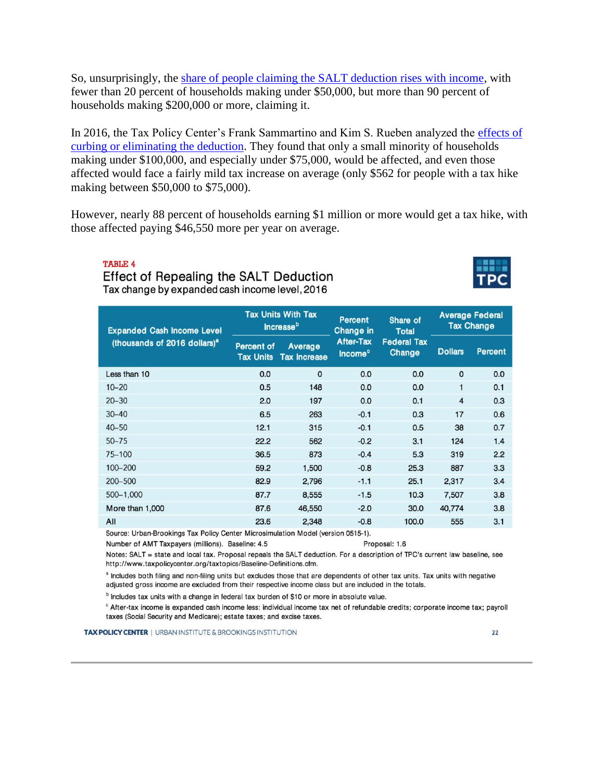So, unsurprisingly, the [share of people claiming the SALT deduction rises with income,](http://www.taxpolicycenter.org/briefing-book/how-does-deduction-state-and-local-taxes-work) with fewer than 20 percent of households making under \$50,000, but more than 90 percent of households making \$200,000 or more, claiming it.

In 2016, the Tax Policy Center's Frank Sammartino and Kim S. Rueben analyzed the effects of [curbing or eliminating the deduction.](http://www.taxpolicycenter.org/publications/revisiting-state-and-local-tax-deduction) They found that only a small minority of households making under \$100,000, and especially under \$75,000, would be affected, and even those affected would face a fairly mild tax increase on average (only \$562 for people with a tax hike making between \$50,000 to \$75,000).

However, nearly 88 percent of households earning \$1 million or more would get a tax hike, with those affected paying \$46,550 more per year on average.

**TABLE 4** 

#### Effect of Repealing the SALT Deduction Tax change by expanded cash income level, 2016



| <b>Expanded Cash Income Level</b><br>(thousands of 2016 dollars) <sup>a</sup> | <b>Tax Units With Tax</b><br><b>Increase</b> <sup>b</sup> |                                | <b>Percent</b><br><b>Change in</b>             | Share of<br><b>Total</b>            | <b>Average Federal</b><br><b>Tax Change</b> |                |
|-------------------------------------------------------------------------------|-----------------------------------------------------------|--------------------------------|------------------------------------------------|-------------------------------------|---------------------------------------------|----------------|
|                                                                               | <b>Percent of</b><br><b>Tax Units</b>                     | Average<br><b>Tax Increase</b> | <b>After-Tax</b><br><b>Income</b> <sup>c</sup> | <b>Federal Tax</b><br><b>Change</b> | <b>Dollars</b>                              | <b>Percent</b> |
| Less than 10                                                                  | 0.0                                                       | $\Omega$                       | 0.0                                            | 0.0                                 | $\mathbf{0}$                                | 0.0            |
| $10 - 20$                                                                     | 0.5                                                       | 148                            | 0.0                                            | 0.0                                 | 1                                           | 0.1            |
| $20 - 30$                                                                     | 2.0                                                       | 197                            | 0.0                                            | 0.1                                 | $\overline{4}$                              | 0.3            |
| $30 - 40$                                                                     | 6.5                                                       | 263                            | $-0.1$                                         | 0.3                                 | 17                                          | 0.6            |
| $40 - 50$                                                                     | 12.1                                                      | 315                            | $-0.1$                                         | 0.5                                 | 38                                          | 0.7            |
| $50 - 75$                                                                     | 22.2                                                      | 562                            | $-0.2$                                         | 3.1                                 | 124                                         | 1.4            |
| 75-100                                                                        | 36.5                                                      | 873                            | $-0.4$                                         | 5.3                                 | 319                                         | 2.2            |
| 100-200                                                                       | 59.2                                                      | 1,500                          | $-0.8$                                         | 25.3                                | 887                                         | 3.3            |
| 200-500                                                                       | 82.9                                                      | 2,796                          | $-1.1$                                         | 25.1                                | 2,317                                       | 3.4            |
| 500-1,000                                                                     | 87.7                                                      | 8,555                          | $-1.5$                                         | 10.3                                | 7,507                                       | 3.8            |
| More than 1,000                                                               | 87.6                                                      | 46,550                         | $-2.0$                                         | 30.0                                | 40,774                                      | 3.8            |
| All                                                                           | 23.6                                                      | 2,348                          | $-0.8$                                         | 100.0                               | 555                                         | 3.1            |

Source: Urban-Brookings Tax Policy Center Microsimulation Model (version 0515-1).

Number of AMT Taxpayers (millions). Baseline: 4.5

Notes: SALT = state and local tax. Proposal repeals the SALT deduction. For a description of TPC's current law baseline, see http://www.taxpolicycenter.org/taxtopics/Baseline-Definitions.cfm.

Proposal: 1.6

a Includes both filing and non-filing units but excludes those that are dependents of other tax units. Tax units with negative adjusted gross income are excluded from their respective income class but are included in the totals.

<sup>b</sup> Includes tax units with a change in federal tax burden of \$10 or more in absolute value.

<sup>c</sup> After-tax income is expanded cash income less: individual income tax net of refundable credits; corporate income tax; payroll taxes (Social Security and Medicare); estate taxes; and excise taxes.

**TAX POLICY CENTER** | URBAN INSTITUTE & BROOKINGS INSTITUTION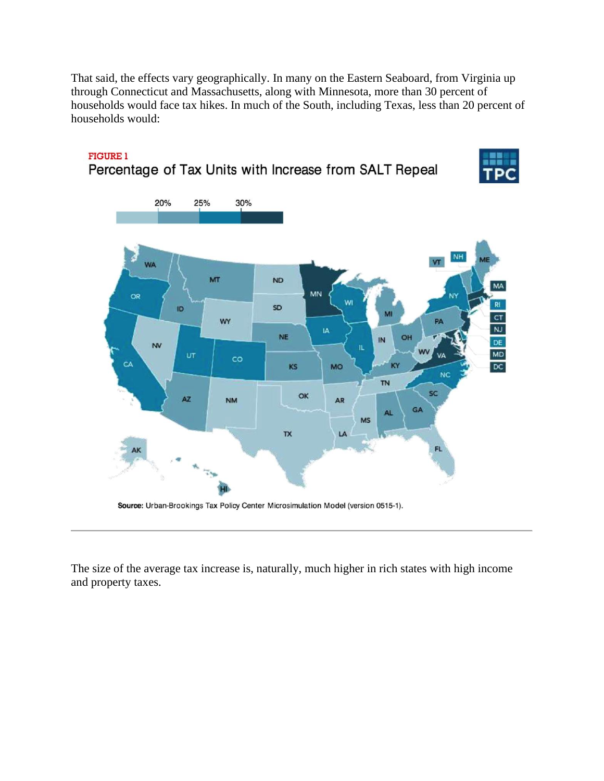That said, the effects vary geographically. In many on the Eastern Seaboard, from Virginia up through Connecticut and Massachusetts, along with Minnesota, more than 30 percent of households would face tax hikes. In much of the South, including Texas, less than 20 percent of households would:



#### **FIGURE 1** Percentage of Tax Units with Increase from SALT Repeal

Source: Urban-Brookings Tax Policy Center Microsimulation Model (version 0515-1).

The size of the average tax increase is, naturally, much higher in rich states with high income and property taxes.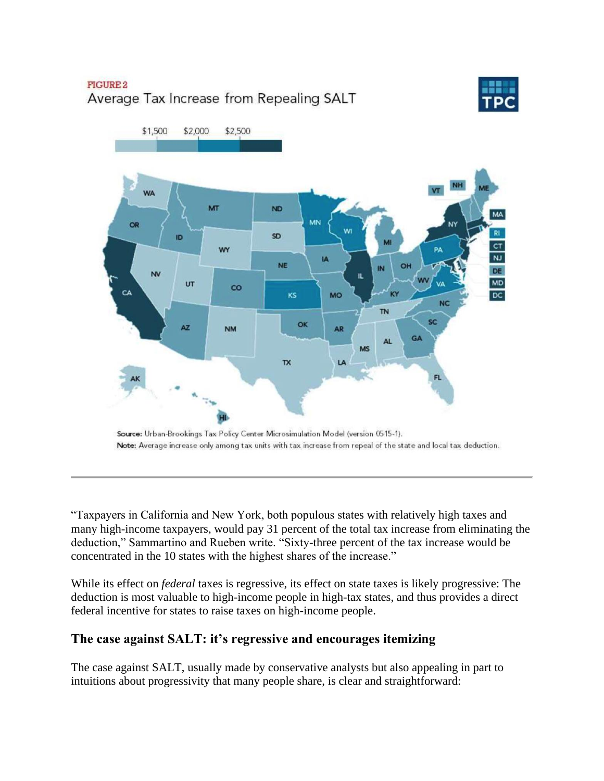## FIGURE 2 Average Tax Increase from Repealing SALT





Source: Urban-Brookings Tax Policy Center Microsimulation Model (version 0515-1). Note: Average increase only among tax units with tax increase from repeal of the state and local tax deduction.

"Taxpayers in California and New York, both populous states with relatively high taxes and many high-income taxpayers, would pay 31 percent of the total tax increase from eliminating the deduction," Sammartino and Rueben write. "Sixty-three percent of the tax increase would be concentrated in the 10 states with the highest shares of the increase."

While its effect on *federal* taxes is regressive, its effect on state taxes is likely progressive: The deduction is most valuable to high-income people in high-tax states, and thus provides a direct federal incentive for states to raise taxes on high-income people.

## **The case against SALT: it's regressive and encourages itemizing**

The case against SALT, usually made by conservative analysts but also appealing in part to intuitions about progressivity that many people share, is clear and straightforward: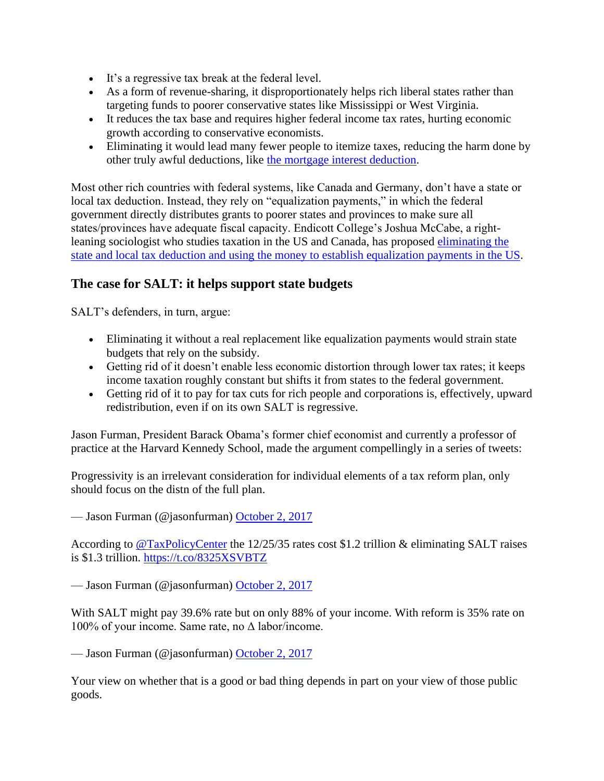- It's a regressive tax break at the federal level.
- As a form of revenue-sharing, it disproportionately helps rich liberal states rather than targeting funds to poorer conservative states like Mississippi or West Virginia.
- It reduces the tax base and requires higher federal income tax rates, hurting economic growth according to conservative economists.
- Eliminating it would lead many fewer people to itemize taxes, reducing the harm done by other truly awful deductions, like [the mortgage interest deduction.](https://www.nytimes.com/2017/05/09/magazine/how-homeownership-became-the-engine-of-american-inequality.html)

Most other rich countries with federal systems, like Canada and Germany, don't have a state or local tax deduction. Instead, they rely on "equalization payments," in which the federal government directly distributes grants to poorer states and provinces to make sure all states/provinces have adequate fiscal capacity. Endicott College's Joshua McCabe, a rightleaning sociologist who studies taxation in the US and Canada, has proposed [eliminating the](https://www.nationalaffairs.com/publications/detail/federalism-in-blue-and-red)  [state and local tax deduction and using the money to establish equalization payments in the US.](https://www.nationalaffairs.com/publications/detail/federalism-in-blue-and-red)

## **The case for SALT: it helps support state budgets**

SALT's defenders, in turn, argue:

- Eliminating it without a real replacement like equalization payments would strain state budgets that rely on the subsidy.
- Getting rid of it doesn't enable less economic distortion through lower tax rates; it keeps income taxation roughly constant but shifts it from states to the federal government.
- Getting rid of it to pay for tax cuts for rich people and corporations is, effectively, upward redistribution, even if on its own SALT is regressive.

Jason Furman, President Barack Obama's former chief economist and currently a professor of practice at the Harvard Kennedy School, made the argument compellingly in a series of tweets:

Progressivity is an irrelevant consideration for individual elements of a tax reform plan, only should focus on the distn of the full plan.

— Jason Furman (@jasonfurman) [October 2, 2017](https://twitter.com/jasonfurman/status/914928492793524226?ref_src=twsrc%5Etfw)

According to [@TaxPolicyCenter](https://twitter.com/TaxPolicyCenter?ref_src=twsrc%5Etfw) the 12/25/35 rates cost \$1.2 trillion & eliminating SALT raises is \$1.3 trillion.<https://t.co/8325XSVBTZ>

— Jason Furman (@jasonfurman) [October 2, 2017](https://twitter.com/jasonfurman/status/914928701124509696?ref_src=twsrc%5Etfw)

With SALT might pay 39.6% rate but on only 88% of your income. With reform is 35% rate on 100% of your income. Same rate, no Δ labor/income.

— Jason Furman (@jasonfurman) [October 2, 2017](https://twitter.com/jasonfurman/status/914928901905887232?ref_src=twsrc%5Etfw)

Your view on whether that is a good or bad thing depends in part on your view of those public goods.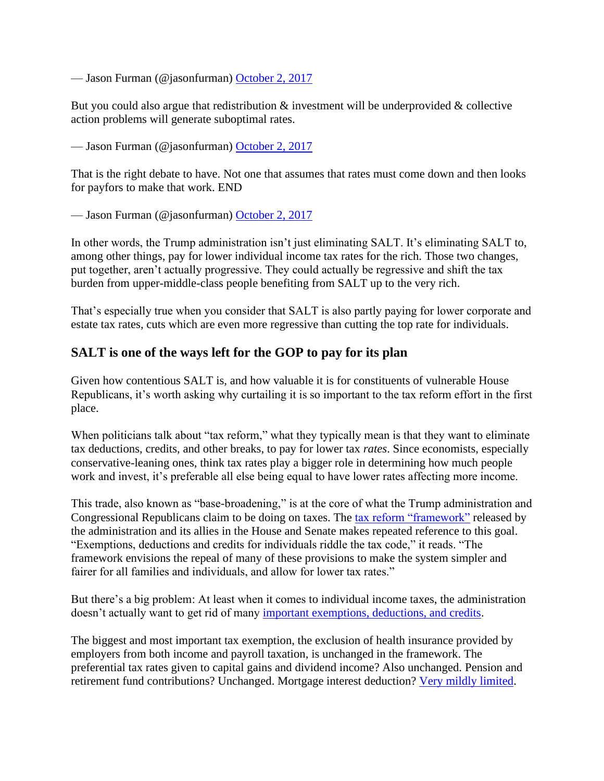— Jason Furman (@jasonfurman) [October 2, 2017](https://twitter.com/jasonfurman/status/914929071162839041?ref_src=twsrc%5Etfw)

But you could also argue that redistribution  $\&$  investment will be underprovided  $\&$  collective action problems will generate suboptimal rates.

— Jason Furman (@jasonfurman) [October 2, 2017](https://twitter.com/jasonfurman/status/914929283205877761?ref_src=twsrc%5Etfw)

That is the right debate to have. Not one that assumes that rates must come down and then looks for payfors to make that work. END

— Jason Furman (@jasonfurman) [October 2, 2017](https://twitter.com/jasonfurman/status/914929368861995008?ref_src=twsrc%5Etfw)

In other words, the Trump administration isn't just eliminating SALT. It's eliminating SALT to, among other things, pay for lower individual income tax rates for the rich. Those two changes, put together, aren't actually progressive. They could actually be regressive and shift the tax burden from upper-middle-class people benefiting from SALT up to the very rich.

That's especially true when you consider that SALT is also partly paying for lower corporate and estate tax rates, cuts which are even more regressive than cutting the top rate for individuals.

#### **SALT is one of the ways left for the GOP to pay for its plan**

Given how contentious SALT is, and how valuable it is for constituents of vulnerable House Republicans, it's worth asking why curtailing it is so important to the tax reform effort in the first place.

When politicians talk about "tax reform," what they typically mean is that they want to eliminate tax deductions, credits, and other breaks, to pay for lower tax *rates*. Since economists, especially conservative-leaning ones, think tax rates play a bigger role in determining how much people work and invest, it's preferable all else being equal to have lower rates affecting more income.

This trade, also known as "base-broadening," is at the core of what the Trump administration and Congressional Republicans claim to be doing on taxes. The [tax reform "framework"](https://www.dropbox.com/s/54v0d0i3ji1h0jr/Tax%20Blueprint.pdf?dl=0) released by the administration and its allies in the House and Senate makes repeated reference to this goal. "Exemptions, deductions and credits for individuals riddle the tax code," it reads. "The framework envisions the repeal of many of these provisions to make the system simpler and fairer for all families and individuals, and allow for lower tax rates."

But there's a big problem: At least when it comes to individual income taxes, the administration doesn't actually want to get rid of many [important exemptions, deductions, and credits.](https://www.cbo.gov/sites/default/files/113th-congress-2013-2014/reports/TaxExpenditures_One-Column.pdf)

The biggest and most important tax exemption, the exclusion of health insurance provided by employers from both income and payroll taxation, is unchanged in the framework. The preferential tax rates given to capital gains and dividend income? Also unchanged. Pension and retirement fund contributions? Unchanged. Mortgage interest deduction? [Very mildly limited.](https://www.vox.com/2017/11/2/16596896/house-republican-tax-reform-cuts-trump-ryan-explained)